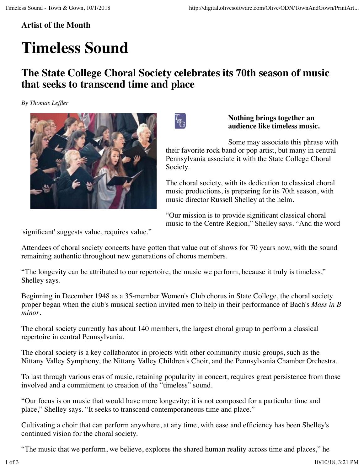## **Artist of the Month**

## **Timeless Sound**

## **The State College Choral Society celebrates its 70th season of music that seeks to transcend time and place**

*By Thomas Leffler*



 $\frac{I_{\mathbb{S}}}{I_{\mathbb{S}}}$ 

**Nothing brings together an audience like timeless music.**

Some may associate this phrase with their favorite rock band or pop artist, but many in central Pennsylvania associate it with the State College Choral Society.

The choral society, with its dedication to classical choral music productions, is preparing for its 70th season, with music director Russell Shelley at the helm.

"Our mission is to provide significant classical choral music to the Centre Region," Shelley says. "And the word

'significant' suggests value, requires value."

Attendees of choral society concerts have gotten that value out of shows for 70 years now, with the sound remaining authentic throughout new generations of chorus members.

"The longevity can be attributed to our repertoire, the music we perform, because it truly is timeless," Shelley says.

Beginning in December 1948 as a 35-member Women's Club chorus in State College, the choral society proper began when the club's musical section invited men to help in their performance of Bach's *Mass in B minor*.

The choral society currently has about 140 members, the largest choral group to perform a classical repertoire in central Pennsylvania.

The choral society is a key collaborator in projects with other community music groups, such as the Nittany Valley Symphony, the Nittany Valley Children*'*s Choir, and the Pennsylvania Chamber Orchestra.

To last through various eras of music, retaining popularity in concert, requires great persistence from those involved and a commitment to creation of the "timeless" sound.

"Our focus is on music that would have more longevity; it is not composed for a particular time and place," Shelley says. "It seeks to transcend contemporaneous time and place."

Cultivating a choir that can perform anywhere, at any time, with ease and efficiency has been Shelley's continued vision for the choral society.

"The music that we perform, we believe, explores the shared human reality across time and places," he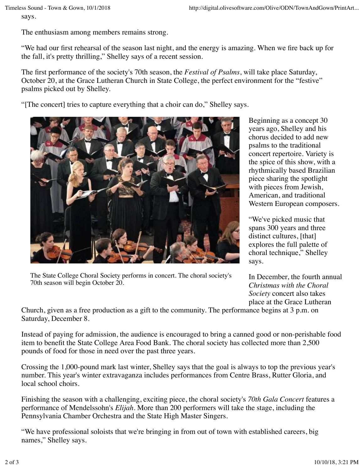says.

The enthusiasm among members remains strong.

"We had our first rehearsal of the season last night, and the energy is amazing. When we fire back up for the fall, it's pretty thrilling," Shelley says of a recent session.

The first performance of the society's 70th season, the *Festival of Psalms*, will take place Saturday, October 20, at the Grace Lutheran Church in State College, the perfect environment for the "festive" psalms picked out by Shelley.

"[The concert] tries to capture everything that a choir can do," Shelley says.



The State College Choral Society performs in concert. The choral society's 70th season will begin October 20.

Beginning as a concept 30 years ago, Shelley and his chorus decided to add new psalms to the traditional concert repertoire. Variety is the spice of this show, with a rhythmically based Brazilian piece sharing the spotlight with pieces from Jewish, American, and traditional Western European composers.

"We've picked music that spans 300 years and three distinct cultures, [that] explores the full palette of choral technique," Shelley says.

In December, the fourth annual *Christmas with the Choral Society* concert also takes place at the Grace Lutheran

Church, given as a free production as a gift to the community. The performance begins at 3 p.m. on Saturday, December 8.

Instead of paying for admission, the audience is encouraged to bring a canned good or non-perishable food item to benefit the State College Area Food Bank. The choral society has collected more than 2,500 pounds of food for those in need over the past three years.

Crossing the 1,000-pound mark last winter, Shelley says that the goal is always to top the previous year's number. This year's winter extravaganza includes performances from Centre Brass, Rutter Gloria, and local school choirs.

Finishing the season with a challenging, exciting piece, the choral society's *70th Gala Concert* features a performance of Mendelssohn's *Elijah*. More than 200 performers will take the stage, including the Pennsylvania Chamber Orchestra and the State High Master Singers.

"We have professional soloists that we're bringing in from out of town with established careers, big names," Shelley says.